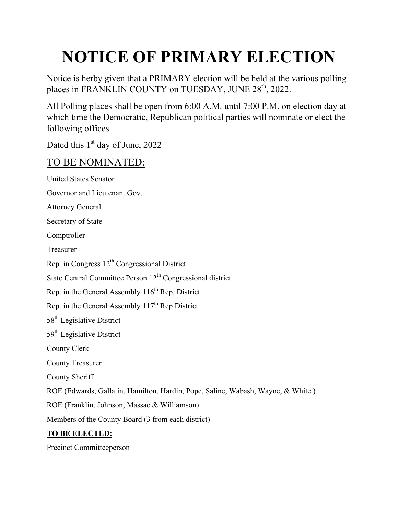# **NOTICE OF PRIMARY ELECTION**

Notice is herby given that a PRIMARY election will be held at the various polling places in FRANKLIN COUNTY on TUESDAY, JUNE 28<sup>th</sup>, 2022.

All Polling places shall be open from 6:00 A.M. until 7:00 P.M. on election day at which time the Democratic, Republican political parties will nominate or elect the following offices

Dated this 1<sup>st</sup> day of June, 2022

### TO BE NOMINATED:

United States Senator Governor and Lieutenant Gov. Attorney General Secretary of State Comptroller Treasurer Rep. in Congress  $12<sup>th</sup>$  Congressional District State Central Committee Person  $12<sup>th</sup>$  Congressional district Rep. in the General Assembly  $116<sup>th</sup>$  Rep. District Rep. in the General Assembly  $117<sup>th</sup>$  Rep District 58<sup>th</sup> Legislative District 59<sup>th</sup> Legislative District County Clerk County Treasurer County Sheriff ROE (Edwards, Gallatin, Hamilton, Hardin, Pope, Saline, Wabash, Wayne, & White.) ROE (Franklin, Johnson, Massac & Williamson) Members of the County Board (3 from each district) **TO BE ELECTED:**  Precinct Committeeperson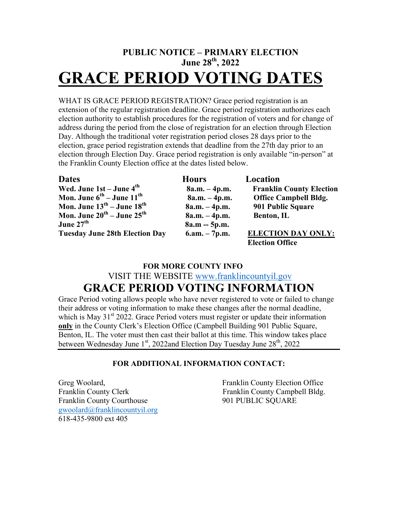## **PUBLIC NOTICE – PRIMARY ELECTION June 28th, 2022 GRACE PERIOD VOTING DATES**

WHAT IS GRACE PERIOD REGISTRATION? Grace period registration is an extension of the regular registration deadline. Grace period registration authorizes each election authority to establish procedures for the registration of voters and for change of address during the period from the close of registration for an election through Election Day. Although the traditional voter registration period closes 28 days prior to the election, grace period registration extends that deadline from the 27th day prior to an election through Election Day. Grace period registration is only available "in-person" at the Franklin County Election office at the dates listed below.

| <b>Dates</b>                                       | <b>Hours</b>    | Location                        |
|----------------------------------------------------|-----------------|---------------------------------|
| Wed. June $1st - June 4th$                         | $8a.m. - 4p.m.$ | <b>Franklin County Election</b> |
| Mon. June $6^{th}$ – June $11^{th}$                | $8a.m. - 4p.m.$ | <b>Office Campbell Bldg.</b>    |
| Mon. June $13^{\text{th}}$ – June $18^{\text{th}}$ | $8a.m. - 4p.m.$ | 901 Public Square               |
| Mon. June $20^{th}$ – June $25^{th}$               | $8a.m. - 4p.m.$ | Benton, IL                      |
| June 27 <sup>th</sup>                              | $8a.m - 5p.m.$  |                                 |
| <b>Tuesday June 28th Election Day</b>              | $6.am. - 7p.m.$ | <b>ELECTION DAY ONLY:</b>       |
|                                                    |                 | <b>Election Office</b>          |

#### **FOR MORE COUNTY INFO**

VISIT THE WEBSITE www.franklincountyil.gov

# **GRACE PERIOD VOTING INFORMATION**

Grace Period voting allows people who have never registered to vote or failed to change their address or voting information to make these changes after the normal deadline, which is May  $31<sup>st</sup> 2022$ . Grace Period voters must register or update their information **only** in the County Clerk's Election Office (Campbell Building 901 Public Square, Benton, IL. The voter must then cast their ballot at this time. This window takes place between Wednesday June 1<sup>st</sup>, 2022and Election Day Tuesday June 28<sup>th</sup>, 2022

#### **FOR ADDITIONAL INFORMATION CONTACT:**

Franklin County Courthouse 901 PUBLIC SQUARE gwoolard@franklincountyil.org 618-435-9800 ext 405

Greg Woolard, The County Election Office Election Office Franklin County Clerk Franklin County Campbell Bldg.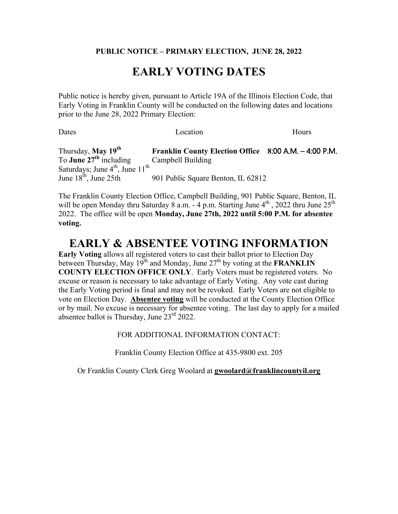#### **PUBLIC NOTICE – PRIMARY ELECTION, JUNE 28, 2022**

## **EARLY VOTING DATES**

Public notice is hereby given, pursuant to Article 19A of the Illinois Election Code, that Early Voting in Franklin County will be conducted on the following dates and locations prior to the June 28, 2022 Primary Election:

| Dates                                                   | Location                                              | Hours |
|---------------------------------------------------------|-------------------------------------------------------|-------|
| Thursday, May 19 <sup>th</sup>                          | Franklin County Election Office 8:00 A.M. - 4:00 P.M. |       |
| To <b>June 27<sup>th</sup></b> including                | Campbell Building                                     |       |
| Saturdays; June 4 <sup>th</sup> , June 11 <sup>th</sup> |                                                       |       |
| June $18^{\text{th}}$ , June $25\text{th}$              | 901 Public Square Benton, IL 62812                    |       |

The Franklin County Election Office, Campbell Building, 901 Public Square, Benton, IL will be open Monday thru Saturday 8 a.m. - 4 p.m. Starting June  $4^{th}$ , 2022 thru June  $25^{th}$ 2022. The office will be open **Monday, June 27th, 2022 until 5:00 P.M. for absentee voting.** 

#### **EARLY & ABSENTEE VOTING INFORMATION**

**Early Voting** allows all registered voters to cast their ballot prior to Election Day between Thursday, May  $19^{th}$  and Monday, June  $27^{th}$  by voting at the **FRANKLIN COUNTY ELECTION OFFICE ONLY**. Early Voters must be registered voters. No excuse or reason is necessary to take advantage of Early Voting. Any vote cast during the Early Voting period is final and may not be revoked. Early Voters are not eligible to vote on Election Day. **Absentee voting** will be conducted at the County Election Office or by mail. No excuse is necessary for absentee voting. The last day to apply for a mailed absentee ballot is Thursday, June  $23<sup>rd</sup> 2022$ .

FOR ADDITIONAL INFORMATION CONTACT:

Franklin County Election Office at 435-9800 ext. 205

Or Franklin County Clerk Greg Woolard at **gwoolard@franklincountyil.org**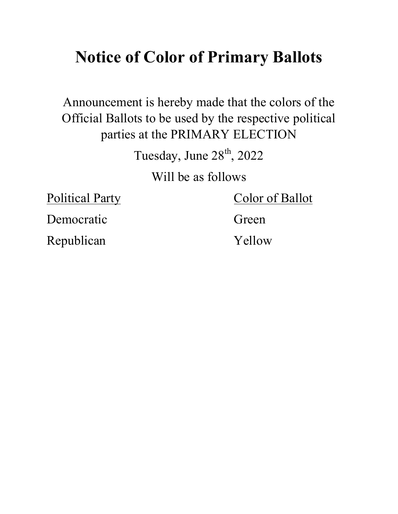# **Notice of Color of Primary Ballots**

Announcement is hereby made that the colors of the Official Ballots to be used by the respective political parties at the PRIMARY ELECTION

Tuesday, June  $28<sup>th</sup>$ , 2022

Will be as follows

Political Party Color of Ballot

Democratic Green

Republican Yellow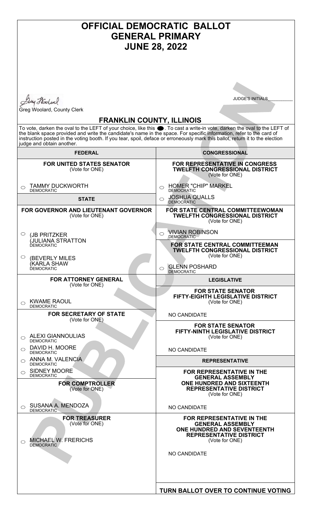# **OFFICIAL DEMOCRATIC BALLOT GENERAL PRIMARY JUNE 28, 2022**

Duy Hoolen

Greg Woolard, County Clerk

JUDGE'S INITIALS\_\_\_\_\_\_\_\_\_\_\_

#### **FRANKLIN COUNTY, ILLINOIS**

To vote, darken the oval to the LEFT of your choice, like this  $\bullet$  . To cast a write-in vote, darken the oval to the LEFT of the blank space provided and write the candidate's name in the space. For specific information, refer to the card of instruction posted in the voting booth. If you tear, spoil, deface or erroneously mark this ballot, return it to the election judge and obtain another.

| <b>FEDERAL</b>                                                                                 | <b>CONGRESSIONAL</b>                                                                                                                           |
|------------------------------------------------------------------------------------------------|------------------------------------------------------------------------------------------------------------------------------------------------|
| <b>FOR UNITED STATES SENATOR</b><br>(Vote for ONE)                                             | <b>FOR REPRESENTATIVE IN CONGRESS</b><br><b>TWELFTH CONGRESSIONAL DISTRICT</b><br>(Vote for ONE)                                               |
| <b>TAMMY DUCKWORTH</b><br>$\bigcirc$<br><b>DEMOCRATIC</b>                                      | <b>HOMER "CHIP" MARKEL</b><br>$\bigcirc$<br><b>DEMOCRATIC</b>                                                                                  |
| <b>STATE</b>                                                                                   | <b>JOSHUA QUALLS</b><br>$\bigcirc$<br><b>DEMOCRATIC</b>                                                                                        |
| <b>FOR GOVERNOR AND LIEUTENANT GOVERNOR</b><br>(Vote for ONE)                                  | FOR STATE CENTRAL COMMITTEEWOMAN<br><b>TWELFTH CONGRESSIONAL DISTRICT</b><br>(Vote for ONE)                                                    |
| $\circ$<br>(JB PRITZKER                                                                        | <b>VIVIAN ROBINSON</b><br>⌒<br>DEMOCRATIC                                                                                                      |
| (JULIANA STRATTON<br><b>DEMOCRATIC</b>                                                         | <b>FOR STATE CENTRAL COMMITTEEMAN</b><br><b>TWELFTH CONGRESSIONAL DISTRICT</b><br>(Vote for ONE)                                               |
| O<br>(BEVERLY MILES<br><i><b>KARLA SHAW</b></i><br><b>DEMOCRATIC</b>                           | <b>GLENN POSHARD</b><br>◯<br><b>DEMOCRATIC</b>                                                                                                 |
| <b>FOR ATTORNEY GENERAL</b><br>(Vote for ONE)                                                  | <b>LEGISLATIVE</b>                                                                                                                             |
| <b>KWAME RAOUL</b><br>◯<br><b>DEMOCRATIC</b>                                                   | <b>FOR STATE SENATOR</b><br>FIFTY-EIGHTH LEGISLATIVE DISTRICT<br>(Vote for ONE)                                                                |
| <b>FOR SECRETARY OF STATE</b><br>(Vote for ONE)                                                | NO CANDIDATE                                                                                                                                   |
| <b>ALEXI GIANNOULIAS</b><br>◯<br><b>DEMOCRATIC</b>                                             | <b>FOR STATE SENATOR</b><br><b>FIFTY-NINTH LEGISLATIVE DISTRICT</b><br>(Vote for ONE)                                                          |
| DAVID H. MOORE<br>◯<br><b>DEMOCRATIC</b>                                                       | NO CANDIDATE                                                                                                                                   |
| ANNA M. VALENCIA<br><b>DEMOCRATIC</b>                                                          | <b>REPRESENTATIVE</b>                                                                                                                          |
| <b>SIDNEY MOORE</b><br>◯<br>DEMOCRATIC                                                         | FOR REPRESENTATIVE IN THE<br><b>GENERAL ASSEMBLY</b>                                                                                           |
| <b>FOR COMPTROLLER</b><br>(Vote for ONE)                                                       | <b>ONE HUNDRED AND SIXTEENTH</b><br><b>REPRESENTATIVE DISTRICT</b><br>(Vote for ONE)                                                           |
| SUSANA A. MENDOZA<br><b>DEMOCRATIC</b>                                                         | NO CANDIDATE                                                                                                                                   |
| <b>FOR TREASURER</b><br>(Vote for ONE)<br><b>MICHAEL W. FRERICHS</b><br>⌒<br><b>DEMOCRATIC</b> | <b>FOR REPRESENTATIVE IN THE</b><br><b>GENERAL ASSEMBLY</b><br>ONE HUNDRED AND SEVENTEENTH<br><b>REPRESENTATIVE DISTRICT</b><br>(Vote for ONE) |
|                                                                                                | <b>NO CANDIDATE</b>                                                                                                                            |
|                                                                                                | TURN BALLOT OVER TO CONTINUE VOTING                                                                                                            |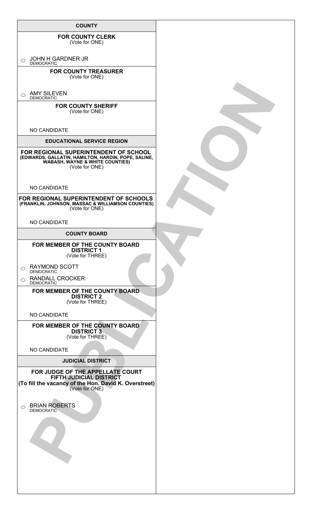| <b>COUNTY</b>                                                                                                                                                                                                                                                                                                                                                                                                                                                                                                                                                                                                    |  |
|------------------------------------------------------------------------------------------------------------------------------------------------------------------------------------------------------------------------------------------------------------------------------------------------------------------------------------------------------------------------------------------------------------------------------------------------------------------------------------------------------------------------------------------------------------------------------------------------------------------|--|
| <b>FOR COUNTY CLERK</b><br>(Vote for ONE)                                                                                                                                                                                                                                                                                                                                                                                                                                                                                                                                                                        |  |
| JOHN H GARDNER JR<br>$\circ$<br><b>DEMOCRATIC</b>                                                                                                                                                                                                                                                                                                                                                                                                                                                                                                                                                                |  |
| <b>FOR COUNTY TREASURER</b><br>(Vote for ONE)                                                                                                                                                                                                                                                                                                                                                                                                                                                                                                                                                                    |  |
| <b>AMY SILEVEN</b><br>$\bigcirc$<br><b>DEMOCRATIC</b>                                                                                                                                                                                                                                                                                                                                                                                                                                                                                                                                                            |  |
| <b>FOR COUNTY SHERIFF</b><br>(Vote for ONE)                                                                                                                                                                                                                                                                                                                                                                                                                                                                                                                                                                      |  |
| NO CANDIDATE                                                                                                                                                                                                                                                                                                                                                                                                                                                                                                                                                                                                     |  |
| <b>EDUCATIONAL SERVICE REGION</b>                                                                                                                                                                                                                                                                                                                                                                                                                                                                                                                                                                                |  |
| FOR REGIONAL SUPERINTENDENT OF SCHOOL<br>(EDWARDS, GALLATIN, HAMILTON, HARDIN, POPE, SALINE,<br>WABASH, WAYNE & WHITE COUNTIES)<br>(Vote for ONE)                                                                                                                                                                                                                                                                                                                                                                                                                                                                |  |
| NO CANDIDATE                                                                                                                                                                                                                                                                                                                                                                                                                                                                                                                                                                                                     |  |
| FOR REGIONAL SUPERINTENDENT OF SCHOOLS<br>(FRANKLIN, JOHNSON, MASSAC & WILLIAMSON COUNTIES)<br>(Vote for ONE)                                                                                                                                                                                                                                                                                                                                                                                                                                                                                                    |  |
| NO CANDIDATE                                                                                                                                                                                                                                                                                                                                                                                                                                                                                                                                                                                                     |  |
| <b>COUNTY BOARD</b>                                                                                                                                                                                                                                                                                                                                                                                                                                                                                                                                                                                              |  |
| FOR MEMBER OF THE COUNTY BOARD<br><b>DISTRICT 1</b><br>(Vote for THREE)<br><b>RAYMOND SCOTT</b><br>$\circ$<br><b>DEMOCRATIC</b><br><b>RANDALL CROCKER</b><br>$\circ$<br><b>DEMOCRATIC</b><br>FOR MEMBER OF THE COUNTY BOARD<br><b>DISTRICT 2</b><br>(Vote for THREE)<br>NO CANDIDATE<br>FOR MEMBER OF THE COUNTY BOARD<br><b>DISTRICT 3</b><br>(Vote for THREE)<br>NO CANDIDATE<br><b>JUDICIAL DISTRICT</b><br>FOR JUDGE OF THE APPELLATE COURT<br>FIFTH JUDICIAL DISTRICT<br>(To fill the vacancy of the Hon. David K. Overstreet)<br>(Vote for ONE)<br><b>BRIAN ROBERTS</b><br>$\bigcirc$<br><b>DEMOCRATIC</b> |  |
|                                                                                                                                                                                                                                                                                                                                                                                                                                                                                                                                                                                                                  |  |
|                                                                                                                                                                                                                                                                                                                                                                                                                                                                                                                                                                                                                  |  |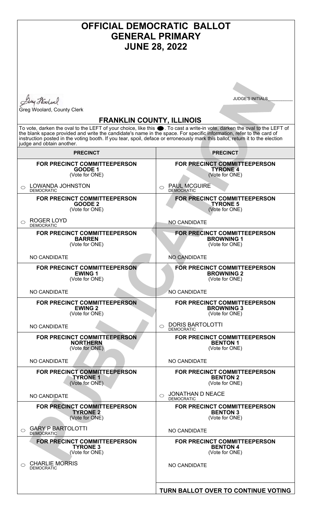| <b>OFFICIAL DEMOCRATIC BALLOT</b><br><b>GENERAL PRIMARY</b><br><b>JUNE 28, 2022</b>                                                                                                                                                                                                                                                                                                                                                                 |                                                                            |  |
|-----------------------------------------------------------------------------------------------------------------------------------------------------------------------------------------------------------------------------------------------------------------------------------------------------------------------------------------------------------------------------------------------------------------------------------------------------|----------------------------------------------------------------------------|--|
| Any Hoolen                                                                                                                                                                                                                                                                                                                                                                                                                                          | <b>JUDGE'S INITIALS</b>                                                    |  |
| Greg Woolard, County Clerk                                                                                                                                                                                                                                                                                                                                                                                                                          |                                                                            |  |
| <b>FRANKLIN COUNTY, ILLINOIS</b><br>To vote, darken the oval to the LEFT of your choice, like this ●. To cast a write-in vote, darken the oval to the LEFT of<br>the blank space provided and write the candidate's name in the space. For specific information, refer to the card of<br>instruction posted in the voting booth. If you tear, spoil, deface or erroneously mark this ballot, return it to the election<br>judge and obtain another. |                                                                            |  |
| <b>PRECINCT</b>                                                                                                                                                                                                                                                                                                                                                                                                                                     | <b>PRECINCT</b>                                                            |  |
| <b>FOR PRECINCT COMMITTEEPERSON</b><br>GOODE 1<br>(Vote for ONE)                                                                                                                                                                                                                                                                                                                                                                                    | <b>FOR PRECINCT COMMITTEEPERSON</b><br><b>TYRONE 4</b><br>(Vote for ONE)   |  |
| <b>LOWANDA JOHNSTON</b><br>◯<br><b>DEMOCRATIC</b>                                                                                                                                                                                                                                                                                                                                                                                                   | <b>PAUL MCGUIRE</b><br>$\bigcirc$<br><b>DEMOCRATIC</b>                     |  |
| FOR PRECINCT COMMITTEEPERSON<br><b>GOODE 2</b><br>(Vote for ONE)                                                                                                                                                                                                                                                                                                                                                                                    | FOR PRECINCT COMMITTEEPERSON<br><b>TYRONE 5</b><br>(Vote for ONE)          |  |
| <b>ROGER LOYD</b><br>$\bigcirc$<br><b>DEMOCRATIC</b>                                                                                                                                                                                                                                                                                                                                                                                                | <b>NO CANDIDATE</b>                                                        |  |
| FOR PRECINCT COMMITTEEPERSON<br><b>BARREN</b><br>(Vote for ONE)                                                                                                                                                                                                                                                                                                                                                                                     | <b>FOR PRECINCT COMMITTEEPERSON</b><br><b>BROWNING 1</b><br>(Vote for ONE) |  |
| <b>NO CANDIDATE</b>                                                                                                                                                                                                                                                                                                                                                                                                                                 | <b>NO CANDIDATE</b>                                                        |  |
| FOR PRECINCT COMMITTEEPERSON<br><b>EWING 1</b><br>(Vote for ONE)                                                                                                                                                                                                                                                                                                                                                                                    | FOR PRECINCT COMMITTEEPERSON<br><b>BROWNING 2</b><br>(Vote for ONE)        |  |
| NO CANDIDATE                                                                                                                                                                                                                                                                                                                                                                                                                                        | <b>NO CANDIDATE</b>                                                        |  |
| <b>FOR PRECINCT COMMITTEEPERSON</b><br><b>EWING 2</b><br>(Vote for ONE)                                                                                                                                                                                                                                                                                                                                                                             | <b>FOR PRECINCT COMMITTEEPERSON</b><br><b>BROWNING 3</b><br>(Vote for ONE) |  |
| NO CANDIDATE                                                                                                                                                                                                                                                                                                                                                                                                                                        | <b>DORIS BARTOLOTTI</b><br>⌒<br><b>DEMOCRATIC</b>                          |  |
| FOR PRECINCT COMMITTEEPERSON<br><b>NORTHERN</b><br>(Vote for ONE)                                                                                                                                                                                                                                                                                                                                                                                   | FOR PRECINCT COMMITTEEPERSON<br><b>BENTON 1</b><br>(Vote for ONE)          |  |
| NO CANDIDATE                                                                                                                                                                                                                                                                                                                                                                                                                                        | NO CANDIDATE                                                               |  |
| FOR PRECINCT COMMITTEEPERSON<br><b>TYRONE 1</b><br>(Vote for ONE)                                                                                                                                                                                                                                                                                                                                                                                   | FOR PRECINCT COMMITTEEPERSON<br><b>BENTON 2</b><br>(Vote for ONE)          |  |
| NO CANDIDATE                                                                                                                                                                                                                                                                                                                                                                                                                                        | <b>JONATHAN D NEACE</b><br>$\bigcirc$<br><b>DEMOCRATIC</b>                 |  |
| FOR PRECINCT COMMITTEEPERSON<br><b>TYRONE 2</b><br>(Vote for ONE)                                                                                                                                                                                                                                                                                                                                                                                   | FOR PRECINCT COMMITTEEPERSON<br><b>BENTON 3</b><br>(Vote for ONE)          |  |
| <b>GARY P BARTOLOTTI</b><br>⌒<br><b>DEMOCRATIC</b>                                                                                                                                                                                                                                                                                                                                                                                                  | <b>NO CANDIDATE</b>                                                        |  |
| <b>FOR PRECINCT COMMITTEEPERSON</b><br><b>TYRONE 3</b><br>(Vote for ONE)                                                                                                                                                                                                                                                                                                                                                                            | FOR PRECINCT COMMITTEEPERSON<br><b>BENTON 4</b><br>(Vote for ONE)          |  |
| <b>CHARLIE MORRIS</b><br>◯<br><b>DEMOCRATIC</b>                                                                                                                                                                                                                                                                                                                                                                                                     | NO CANDIDATE                                                               |  |
|                                                                                                                                                                                                                                                                                                                                                                                                                                                     | TURN BALLOT OVER TO CONTINUE VOTING                                        |  |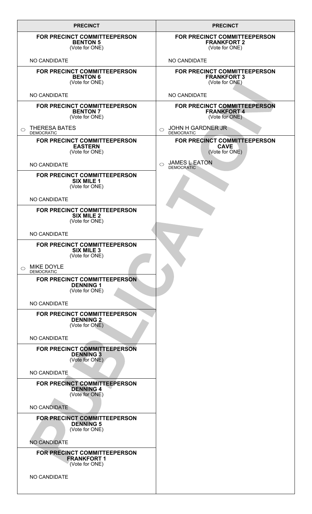| <b>PRECINCT</b>                                                            | <b>PRECINCT</b>                                                      |
|----------------------------------------------------------------------------|----------------------------------------------------------------------|
| FOR PRECINCT COMMITTEEPERSON<br><b>BENTON 5</b><br>(Vote for ONE)          | FOR PRECINCT COMMITTEEPERSON<br><b>FRANKFORT 2</b><br>(Vote for ONE) |
| NO CANDIDATE                                                               | NO CANDIDATE                                                         |
| FOR PRECINCT COMMITTEEPERSON<br><b>BENTON 6</b><br>(Vote for ONE)          | FOR PRECINCT COMMITTEEPERSON<br><b>FRANKFORT 3</b><br>(Vote for ONE) |
| NO CANDIDATE                                                               | NO CANDIDATE                                                         |
| FOR PRECINCT COMMITTEEPERSON<br><b>BENTON 7</b><br>(Vote for ONE)          | FOR PRECINCT COMMITTEEPERSON<br><b>FRANKFORT 4</b><br>(Vote for ONE) |
| <b>THERESA BATES</b><br>◯<br><b>DEMOCRATIC</b>                             | <b>JOHN H GARDNER JR</b><br>$\bigcirc$<br><b>DEMOCRATIC</b>          |
| FOR PRECINCT COMMITTEEPERSON<br><b>EASTERN</b><br>(Vote for ONE)           | FOR PRECINCT COMMITTEEPERSON<br><b>CAVE</b><br>(Vote for ONE)        |
| NO CANDIDATE                                                               | <b>JAMES L EATON</b><br>$\bigcirc$<br><b>DEMOCRATIC</b>              |
| FOR PRECINCT COMMITTEEPERSON<br><b>SIX MILE 1</b><br>(Vote for ONE)        |                                                                      |
| NO CANDIDATE                                                               |                                                                      |
| FOR PRECINCT COMMITTEEPERSON<br><b>SIX MILE 2</b><br>(Vote for ONE)        |                                                                      |
| NO CANDIDATE                                                               |                                                                      |
| <b>FOR PRECINCT COMMITTEEPERSON</b><br><b>SIX MILE 3</b><br>(Vote for ONE) |                                                                      |
| <b>MIKE DOYLE</b><br>◯<br><b>DEMOCRATIC</b>                                |                                                                      |
| FOR PRECINCT COMMITTEEPERSON<br><b>DENNING 1</b><br>(Vote for ONE)         |                                                                      |
| NO CANDIDATE                                                               |                                                                      |
| FOR PRECINCT COMMITTEEPERSON<br><b>DENNING 2</b><br>(Vote for ONE)         |                                                                      |
| NO CANDIDATE                                                               |                                                                      |
| FOR PRECINCT COMMITTEEPERSON<br><b>DENNING 3</b><br>(Vote for ONE)         |                                                                      |
| NO CANDIDATE                                                               |                                                                      |
| FOR PRECINCT COMMITTEEPERSON<br><b>DENNING 4</b><br>(Vote for ONE)         |                                                                      |
| NO CANDIDATE                                                               |                                                                      |
| FOR PRECINCT COMMITTEEPERSON<br><b>DENNING 5</b><br>(Vote for ONE)         |                                                                      |
| <b>NO CANDIDATE</b>                                                        |                                                                      |
| FOR PRECINCT COMMITTEEPERSON<br><b>FRANKFORT 1</b><br>(Vote for ONE)       |                                                                      |
| NO CANDIDATE                                                               |                                                                      |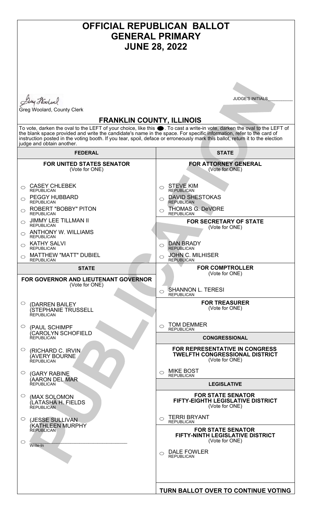#### **OFFICIAL REPUBLICAN BALLOT GENERAL PRIMARY JUNE 28, 2022 JUDGE'S INITIALS** Duy Holml Greg Woolard, County Clerk **FRANKLIN COUNTY, ILLINOIS** To vote, darken the oval to the LEFT of your choice, like this  $\bullet$ . To cast a write-in vote, darken the oval to the LEFT of the blank space provided and write the candidate's name in the space. For specific information, refer to the card of instruction posted in the voting booth. If you tear, spoil, deface or erroneously mark this ballot, return it to the election judge and obtain another. **FEDERAL STATE FOR ATTORNEY GENERAL FOR UNITED STATES SENATOR** (Vote for ONE) (Vote for ONE) CASEY CHLEBEK STEVE KIM  $\bigcirc$  $\bigcap$ **REPUBLICAN** REPUBLICAN PEGGY HUBBARD DAVID SHESTOKAS  $\circ$  $\bigcirc$ REPUBLICAN **REPUBLICAN** ROBERT "BOBBY" PITON THOMAS G. DeVORE  $\circ$  $\circ$ REPUBLICAN **REPUBLICAN** JIMMY LEE TILLMAN II **FOR SECRETARY OF STATE**  $\bigcirc$ REPUBLICAN (Vote for ONE) ANTHONY W. WILLIAMS  $\bigcirc$ **REPUBLICAN** KATHY SALVI DAN BRADY  $\bigcirc$  $\bigcirc$ REPUBLICAN REPUBLICAN MATTHEW "MATT" DUBIEL JOHN C. MILHISER  $\circ$  $\circ$ REPUBLICAN REPUBLICAN **FOR COMPTROLLER STATE** (Vote for ONE) **FOR GOVERNOR AND LIEUTENANT GOVERNOR** (Vote for ONE) SHANNON L. TERESI  $\circ$ **REPUBLICAN FOR TREASURER**  $\circ$ (DARREN BAILEY (Vote for ONE) (STEPHANIE TRUSSELL REPUBLICAN TOM DEMMER  $\bigcirc$  $\bigcirc$ (PAUL SCHIMPF **REPUBLICAN** (CAROLYN SCHOFIELD **CONGRESSIONAL** REPUBLICAN **FOR REPRESENTATIVE IN CONGRESS**   $\circ$ (RICHARD C. IRVIN **TWELFTH CONGRESSIONAL DISTRICT** (AVERY BOURNE REPUBLICAN (Vote for ONE)  $\circ$  MIKE BOST  $\bigcirc$ (GARY RABINE **REPUBLICAN** (AARON DEL MAR **LEGISLATIVE** REPUBLICAN **FOR STATE SENATOR**   $\circ$ (MAX SOLOMON **FIFTY-EIGHTH LEGISLATIVE DISTRICT** (LATASHA H. FIELDS (Vote for ONE) REPUBLICAN TERRI BRYANT  $\circ$  $\bigcirc$ (JESSE SULLIVAN **REPUBLICAN** (KATHLEEN MURPHY REPUBLICAN **FOR STATE SENATOR FIFTY-NINTH LEGISLATIVE DISTRICT** (Vote for ONE)  $\circ$  $\mathcal{L}=\mathcal{L}=\mathcal{L}=\mathcal{L}=\mathcal{L}=\mathcal{L}=\mathcal{L}=\mathcal{L}=\mathcal{L}=\mathcal{L}=\mathcal{L}=\mathcal{L}=\mathcal{L}=\mathcal{L}=\mathcal{L}=\mathcal{L}=\mathcal{L}=\mathcal{L}=\mathcal{L}=\mathcal{L}=\mathcal{L}=\mathcal{L}=\mathcal{L}=\mathcal{L}=\mathcal{L}=\mathcal{L}=\mathcal{L}=\mathcal{L}=\mathcal{L}=\mathcal{L}=\mathcal{L}=\mathcal{L}=\mathcal{L}=\mathcal{L}=\mathcal{L}=\mathcal{L}=\mathcal{$ Write-In  $\circ$  DALE FOWLER REPUBLICAN**TURN BALLOT OVER TO CONTINUE VOTING**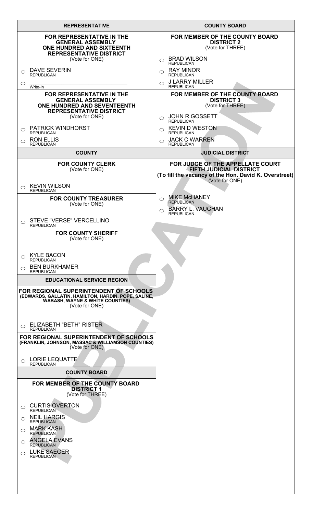| <b>REPRESENTATIVE</b>                                                                                                                                                                                                                                                                                                        | <b>COUNTY BOARD</b>                                                                                                                           |
|------------------------------------------------------------------------------------------------------------------------------------------------------------------------------------------------------------------------------------------------------------------------------------------------------------------------------|-----------------------------------------------------------------------------------------------------------------------------------------------|
| <b>FOR REPRESENTATIVE IN THE</b><br><b>GENERAL ASSEMBLY</b><br><b>ONE HUNDRED AND SIXTEENTH</b><br><b>REPRESENTATIVE DISTRICT</b><br>(Vote for ONE)                                                                                                                                                                          | FOR MEMBER OF THE COUNTY BOARD<br><b>DISTRICT 2</b><br>(Vote for THREE)<br><b>BRAD WILSON</b><br>$\bigcirc$                                   |
| <b>DAVE SEVERIN</b><br>$\bigcirc$<br>REPUBLICAN<br>$\circ$                                                                                                                                                                                                                                                                   | <b>REPUBLICAN</b><br><b>RAY MINOR</b><br>◯<br><b>REPUBLICAN</b><br>$\circ$ J LARRY MILLER                                                     |
| Write-In<br>FOR REPRESENTATIVE IN THE<br><b>GENERAL ASSEMBLY</b><br>ONE HUNDRED AND SEVENTEENTH<br><b>REPRESENTATIVE DISTRICT</b><br>(Vote for ONE)                                                                                                                                                                          | <b>REPUBLICAN</b><br>FOR MEMBER OF THE COUNTY BOARD<br><b>DISTRICT 3</b><br>(Vote for THREE)<br><b>JOHN R GOSSETT</b>                         |
| <b>PATRICK WINDHORST</b><br>$\bigcirc$<br><b>REPUBLICAN</b><br><b>RON ELLIS</b><br>$\bigcirc$                                                                                                                                                                                                                                | $\bigcirc$<br><b>REPUBLICAN</b><br>$\circ$ KEVIN D WESTON<br><b>REPUBLICAN</b><br><b>JACK C WARREN</b><br>◯                                   |
| <b>REPUBLICAN</b><br><b>COUNTY</b>                                                                                                                                                                                                                                                                                           | <b>REPUBLICAN</b><br><b>JUDICIAL DISTRICT</b>                                                                                                 |
| <b>FOR COUNTY CLERK</b><br>(Vote for ONE)                                                                                                                                                                                                                                                                                    | FOR JUDGE OF THE APPELLATE COURT<br><b>FIFTH JUDICIAL DISTRICT</b><br>(To fill the vacancy of the Hon. David K. Overstreet)<br>(Vote for ONE) |
| <b>KEVIN WILSON</b><br>$\bigcirc$<br><b>REPUBLICAN</b><br><b>FOR COUNTY TREASURER</b><br>(Vote for ONE)                                                                                                                                                                                                                      | <b>MIKE McHANEY</b><br>$\bigcirc$<br><b>REPUBLICAN</b><br><b>BARRY L. VAUGHAN</b><br>◯                                                        |
| STEVE "VERSE" VERCELLINO<br>◯<br><b>REPUBLICAN</b>                                                                                                                                                                                                                                                                           | <b>REPUBLICAN</b>                                                                                                                             |
| <b>FOR COUNTY SHERIFF</b><br>(Vote for ONE)                                                                                                                                                                                                                                                                                  |                                                                                                                                               |
| <b>KYLE BACON</b><br>$\bigcirc$<br><b>REPUBLICAN</b><br><b>BEN BURKHAMER</b><br>$\bigcirc$<br><b>REPUBLICAN</b>                                                                                                                                                                                                              |                                                                                                                                               |
| <b>EDUCATIONAL SERVICE REGION</b><br>FOR REGIONAL SUPERINTENDENT OF SCHOOLS<br>(EDWARDS, GALLATIN, HAMILTON, HARDIN, POPE, SALINE,<br><b>WABASH, WAYNE &amp; WHITE COUNTIES)</b><br>(Vote for ONE)                                                                                                                           |                                                                                                                                               |
| $_{\bigcirc}\;$ ELIZABETH "BETH" RISTER<br><b>REPUBLICAN</b><br>FOR REGIONAL SUPERINTENDENT OF SCHOOLS<br>(FRANKLIN, JOHNSON, MASSAC & WILLIAMSON COUNTIES)                                                                                                                                                                  |                                                                                                                                               |
| (Vote for ONE)<br><b>LORIE LEQUATTE</b><br>$\bigcirc$<br><b>REPUBLICAN</b>                                                                                                                                                                                                                                                   |                                                                                                                                               |
| <b>COUNTY BOARD</b>                                                                                                                                                                                                                                                                                                          |                                                                                                                                               |
| FOR MEMBER OF THE COUNTY BOARD<br><b>DISTRICT 1</b><br>(Vote for THREE)<br><b>CURTIS OVERTON</b><br>$\circ$<br><b>REPUBLICAN</b><br>$\circ$ NEIL HARGIS<br><b>REPUBLICAN</b><br><b>MARK KASH</b><br>$\bigcirc$<br><b>REPUBLICAN</b><br>$\circ$ ANGELA EVANS<br><b>REPUBLICAN</b><br>$\circ$ LUKE SAEGER<br><b>REPUBLICAN</b> |                                                                                                                                               |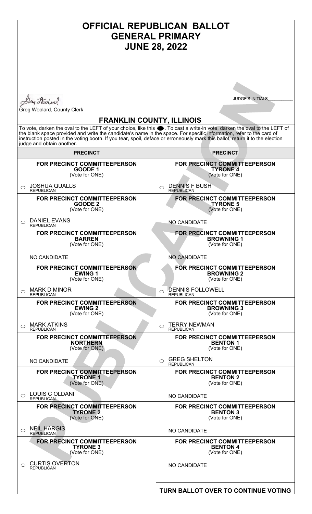| <b>OFFICIAL REPUBLICAN BALLOT</b><br><b>GENERAL PRIMARY</b><br><b>JUNE 28, 2022</b>                                                                                                                                                                                                                                                                                                                                                                 |                                                                            |  |
|-----------------------------------------------------------------------------------------------------------------------------------------------------------------------------------------------------------------------------------------------------------------------------------------------------------------------------------------------------------------------------------------------------------------------------------------------------|----------------------------------------------------------------------------|--|
|                                                                                                                                                                                                                                                                                                                                                                                                                                                     |                                                                            |  |
|                                                                                                                                                                                                                                                                                                                                                                                                                                                     |                                                                            |  |
| Duy Hoolen                                                                                                                                                                                                                                                                                                                                                                                                                                          | <b>JUDGE'S INITIALS</b>                                                    |  |
| Greg Woolard, County Clerk                                                                                                                                                                                                                                                                                                                                                                                                                          |                                                                            |  |
| <b>FRANKLIN COUNTY, ILLINOIS</b><br>To vote, darken the oval to the LEFT of your choice, like this ●. To cast a write-in vote, darken the oval to the LEFT of<br>the blank space provided and write the candidate's name in the space. For specific information, refer to the card of<br>instruction posted in the voting booth. If you tear, spoil, deface or erroneously mark this ballot, return it to the election<br>judge and obtain another. |                                                                            |  |
| <b>PRECINCT</b>                                                                                                                                                                                                                                                                                                                                                                                                                                     | <b>PRECINCT</b>                                                            |  |
| FOR PRECINCT COMMITTEEPERSON<br>GOODE 1<br>(Vote for ONE)                                                                                                                                                                                                                                                                                                                                                                                           | FOR PRECINCT COMMITTEEPERSON<br><b>TYRONE 4</b><br>(Vote for ONE)          |  |
| <b>JOSHUA QUALLS</b><br>$\bigcirc$<br><b>REPUBLICAN</b>                                                                                                                                                                                                                                                                                                                                                                                             | <b>DENNIS F BUSH</b><br>◯<br><b>REPUBLICAN</b>                             |  |
| FOR PRECINCT COMMITTEEPERSON<br><b>GOODE 2</b><br>(Vote for ONE)                                                                                                                                                                                                                                                                                                                                                                                    | <b>FOR PRECINCT COMMITTEEPERSON</b><br><b>TYRONE 5</b><br>(Vote for ONE)   |  |
| <b>DANIEL EVANS</b><br>$\bigcirc$<br><b>REPUBLICAN</b>                                                                                                                                                                                                                                                                                                                                                                                              | <b>NO CANDIDATE</b>                                                        |  |
| <b>FOR PRECINCT COMMITTEEPERSON</b><br><b>BARREN</b><br>(Vote for ONE)                                                                                                                                                                                                                                                                                                                                                                              | <b>FOR PRECINCT COMMITTEEPERSON</b><br><b>BROWNING 1</b><br>(Vote for ONE) |  |
| NO CANDIDATE                                                                                                                                                                                                                                                                                                                                                                                                                                        | <b>NO CANDIDATE</b>                                                        |  |
| <b>FOR PRECINCT COMMITTEEPERSON</b><br><b>EWING 1</b><br>(Vote for ONE)                                                                                                                                                                                                                                                                                                                                                                             | FOR PRECINCT COMMITTEEPERSON<br><b>BROWNING 2</b><br>(Vote for ONE)        |  |
| <b>MARK D MINOR</b><br>◯<br><b>REPUBLICAN</b>                                                                                                                                                                                                                                                                                                                                                                                                       | DENNIS FOLLOWELL<br>⌒<br><b>REPUBLICAN</b>                                 |  |
| FOR PRECINCT COMMITTEEPERSON<br><b>EWING 2</b><br>(Vote for ONE)                                                                                                                                                                                                                                                                                                                                                                                    | <b>FOR PRECINCT COMMITTEEPERSON</b><br><b>BROWNING 3</b><br>(Vote for ONE) |  |
| <b>MARK ATKINS</b><br>◯<br><b>REPUBLICAN</b>                                                                                                                                                                                                                                                                                                                                                                                                        | <b>TERRY NEWMAN</b><br><b>REPUBLICAN</b>                                   |  |
| FOR PRECINCT COMMITTEEPERSON<br><b>NORTHERN</b><br>(Vote for ONE)                                                                                                                                                                                                                                                                                                                                                                                   | FOR PRECINCT COMMITTEEPERSON<br><b>BENTON 1</b><br>(Vote for ONE)          |  |
| NO CANDIDATE                                                                                                                                                                                                                                                                                                                                                                                                                                        | <b>GREG SHELTON</b><br>$\bigcirc$<br><b>REPUBLICAN</b>                     |  |
| FOR PRECINCT COMMITTEEPERSON<br><b>TYRONE 1</b><br>(Vote for ONE)                                                                                                                                                                                                                                                                                                                                                                                   | FOR PRECINCT COMMITTEEPERSON<br><b>BENTON 2</b><br>(Vote for ONE)          |  |
| <b>LOUIS C OLDANI</b><br>◯<br><b>REPUBLICAN</b>                                                                                                                                                                                                                                                                                                                                                                                                     | <b>NO CANDIDATE</b>                                                        |  |
| FOR PRECINCT COMMITTEEPERSON<br><b>TYRONE 2</b><br>(Vote for ONE)                                                                                                                                                                                                                                                                                                                                                                                   | FOR PRECINCT COMMITTEEPERSON<br><b>BENTON 3</b><br>(Vote for ONE)          |  |
| <b>NEIL HARGIS</b><br>◯<br><b>REPUBLICAN</b>                                                                                                                                                                                                                                                                                                                                                                                                        | <b>NO CANDIDATE</b>                                                        |  |
| FOR PRECINCT COMMITTEEPERSON<br><b>TYRONE 3</b><br>(Vote for ONE)                                                                                                                                                                                                                                                                                                                                                                                   | FOR PRECINCT COMMITTEEPERSON<br><b>BENTON 4</b><br>(Vote for ONE)          |  |
| <b>CURTIS OVERTON</b><br>$\bigcirc$<br><b>REPUBLICAN</b>                                                                                                                                                                                                                                                                                                                                                                                            | <b>NO CANDIDATE</b>                                                        |  |
|                                                                                                                                                                                                                                                                                                                                                                                                                                                     | TURN BALLOT OVER TO CONTINUE VOTING                                        |  |